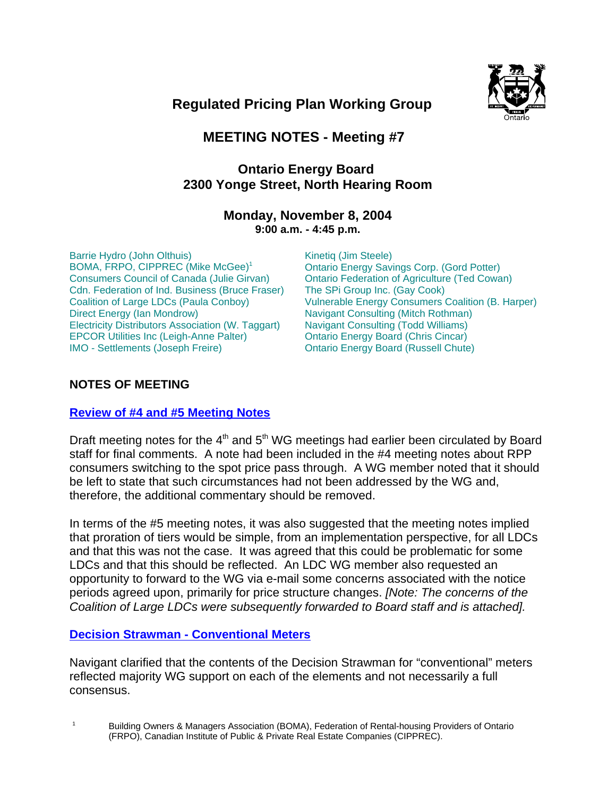

# **Regulated Pricing Plan Working Group**

## **MEETING NOTES - Meeting #7**

## **Ontario Energy Board 2300 Yonge Street, North Hearing Room**

## **Monday, November 8, 2004 9:00 a.m. - 4:45 p.m.**

Barrie Hydro (John Olthuis) BOMA, FRPO, CIPPREC (Mike McGee)<sup>1</sup> Consumers Council of Canada (Julie Girvan) Cdn. Federation of Ind. Business (Bruce Fraser) Coalition of Large LDCs (Paula Conboy) Direct Energy (Ian Mondrow) Electricity Distributors Association (W. Taggart) EPCOR Utilities Inc (Leigh-Anne Palter) IMO - Settlements (Joseph Freire)

Kinetiq (Jim Steele) Ontario Energy Savings Corp. (Gord Potter) Ontario Federation of Agriculture (Ted Cowan) The SPi Group Inc. (Gay Cook) Vulnerable Energy Consumers Coalition (B. Harper) Navigant Consulting (Mitch Rothman) Navigant Consulting (Todd Williams) Ontario Energy Board (Chris Cincar) Ontario Energy Board (Russell Chute)

## **NOTES OF MEETING**

## **Review of #4 and #5 Meeting Notes**

Draft meeting notes for the  $4<sup>th</sup>$  and  $5<sup>th</sup>$  WG meetings had earlier been circulated by Board staff for final comments. A note had been included in the #4 meeting notes about RPP consumers switching to the spot price pass through. A WG member noted that it should be left to state that such circumstances had not been addressed by the WG and, therefore, the additional commentary should be removed.

In terms of the #5 meeting notes, it was also suggested that the meeting notes implied that proration of tiers would be simple, from an implementation perspective, for all LDCs and that this was not the case. It was agreed that this could be problematic for some LDCs and that this should be reflected. An LDC WG member also requested an opportunity to forward to the WG via e-mail some concerns associated with the notice periods agreed upon, primarily for price structure changes. *[Note: The concerns of the Coalition of Large LDCs were subsequently forwarded to Board staff and is attached].*

## **Decision Strawman - Conventional Meters**

Navigant clarified that the contents of the Decision Strawman for "conventional" meters reflected majority WG support on each of the elements and not necessarily a full consensus.

<sup>1</sup> Building Owners & Managers Association (BOMA), Federation of Rental-housing Providers of Ontario (FRPO), Canadian Institute of Public & Private Real Estate Companies (CIPPREC).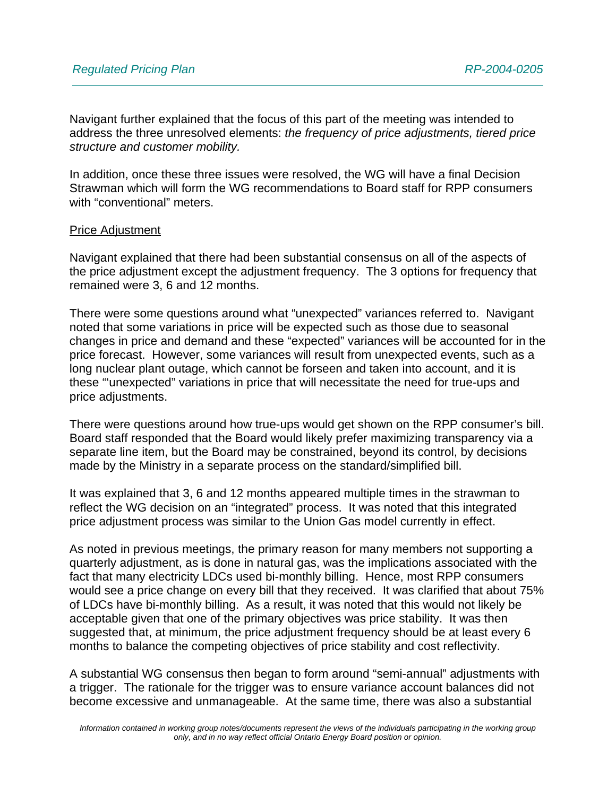Navigant further explained that the focus of this part of the meeting was intended to address the three unresolved elements: *the frequency of price adjustments, tiered price structure and customer mobility.*

In addition, once these three issues were resolved, the WG will have a final Decision Strawman which will form the WG recommendations to Board staff for RPP consumers with "conventional" meters.

#### Price Adjustment

Navigant explained that there had been substantial consensus on all of the aspects of the price adjustment except the adjustment frequency. The 3 options for frequency that remained were 3, 6 and 12 months.

There were some questions around what "unexpected" variances referred to. Navigant noted that some variations in price will be expected such as those due to seasonal changes in price and demand and these "expected" variances will be accounted for in the price forecast. However, some variances will result from unexpected events, such as a long nuclear plant outage, which cannot be forseen and taken into account, and it is these "'unexpected" variations in price that will necessitate the need for true-ups and price adjustments.

There were questions around how true-ups would get shown on the RPP consumer's bill. Board staff responded that the Board would likely prefer maximizing transparency via a separate line item, but the Board may be constrained, beyond its control, by decisions made by the Ministry in a separate process on the standard/simplified bill.

It was explained that 3, 6 and 12 months appeared multiple times in the strawman to reflect the WG decision on an "integrated" process. It was noted that this integrated price adjustment process was similar to the Union Gas model currently in effect.

As noted in previous meetings, the primary reason for many members not supporting a quarterly adjustment, as is done in natural gas, was the implications associated with the fact that many electricity LDCs used bi-monthly billing. Hence, most RPP consumers would see a price change on every bill that they received. It was clarified that about 75% of LDCs have bi-monthly billing. As a result, it was noted that this would not likely be acceptable given that one of the primary objectives was price stability. It was then suggested that, at minimum, the price adjustment frequency should be at least every 6 months to balance the competing objectives of price stability and cost reflectivity.

A substantial WG consensus then began to form around "semi-annual" adjustments with a trigger. The rationale for the trigger was to ensure variance account balances did not become excessive and unmanageable. At the same time, there was also a substantial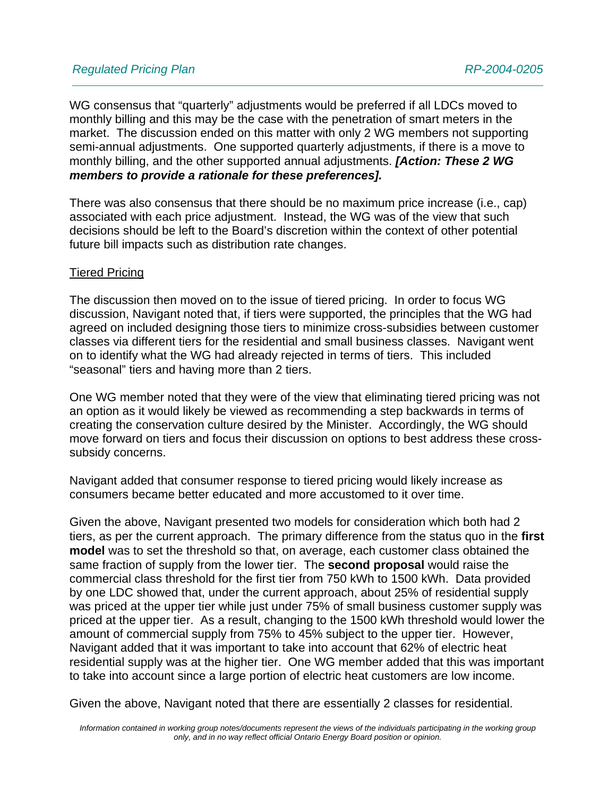WG consensus that "quarterly" adjustments would be preferred if all LDCs moved to monthly billing and this may be the case with the penetration of smart meters in the market. The discussion ended on this matter with only 2 WG members not supporting semi-annual adjustments. One supported quarterly adjustments, if there is a move to monthly billing, and the other supported annual adjustments. *[Action: These 2 WG members to provide a rationale for these preferences].*

There was also consensus that there should be no maximum price increase (i.e., cap) associated with each price adjustment. Instead, the WG was of the view that such decisions should be left to the Board's discretion within the context of other potential future bill impacts such as distribution rate changes.

## Tiered Pricing

The discussion then moved on to the issue of tiered pricing. In order to focus WG discussion, Navigant noted that, if tiers were supported, the principles that the WG had agreed on included designing those tiers to minimize cross-subsidies between customer classes via different tiers for the residential and small business classes. Navigant went on to identify what the WG had already rejected in terms of tiers. This included "seasonal" tiers and having more than 2 tiers.

One WG member noted that they were of the view that eliminating tiered pricing was not an option as it would likely be viewed as recommending a step backwards in terms of creating the conservation culture desired by the Minister. Accordingly, the WG should move forward on tiers and focus their discussion on options to best address these crosssubsidy concerns.

Navigant added that consumer response to tiered pricing would likely increase as consumers became better educated and more accustomed to it over time.

Given the above, Navigant presented two models for consideration which both had 2 tiers, as per the current approach. The primary difference from the status quo in the **first model** was to set the threshold so that, on average, each customer class obtained the same fraction of supply from the lower tier. The **second proposal** would raise the commercial class threshold for the first tier from 750 kWh to 1500 kWh. Data provided by one LDC showed that, under the current approach, about 25% of residential supply was priced at the upper tier while just under 75% of small business customer supply was priced at the upper tier. As a result, changing to the 1500 kWh threshold would lower the amount of commercial supply from 75% to 45% subject to the upper tier. However, Navigant added that it was important to take into account that 62% of electric heat residential supply was at the higher tier. One WG member added that this was important to take into account since a large portion of electric heat customers are low income.

Given the above, Navigant noted that there are essentially 2 classes for residential.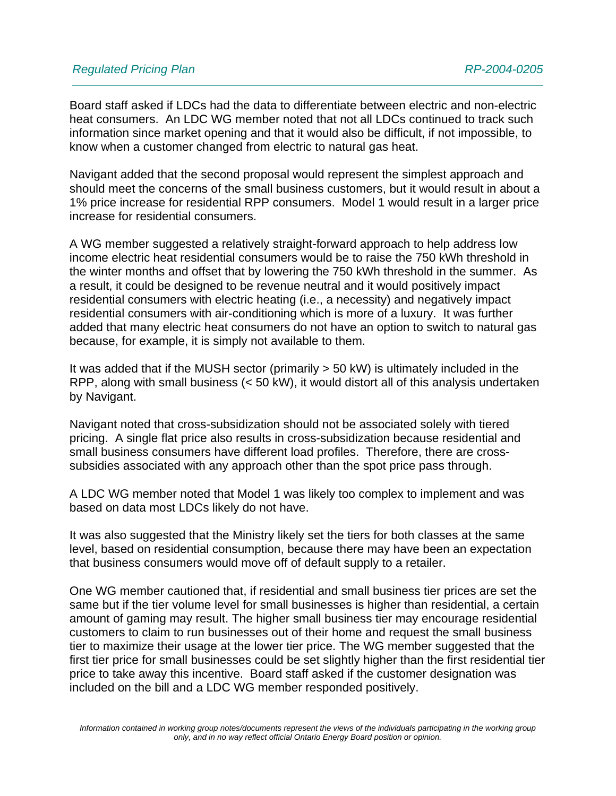Board staff asked if LDCs had the data to differentiate between electric and non-electric heat consumers. An LDC WG member noted that not all LDCs continued to track such information since market opening and that it would also be difficult, if not impossible, to know when a customer changed from electric to natural gas heat.

Navigant added that the second proposal would represent the simplest approach and should meet the concerns of the small business customers, but it would result in about a 1% price increase for residential RPP consumers. Model 1 would result in a larger price increase for residential consumers.

A WG member suggested a relatively straight-forward approach to help address low income electric heat residential consumers would be to raise the 750 kWh threshold in the winter months and offset that by lowering the 750 kWh threshold in the summer. As a result, it could be designed to be revenue neutral and it would positively impact residential consumers with electric heating (i.e., a necessity) and negatively impact residential consumers with air-conditioning which is more of a luxury. It was further added that many electric heat consumers do not have an option to switch to natural gas because, for example, it is simply not available to them.

It was added that if the MUSH sector (primarily > 50 kW) is ultimately included in the RPP, along with small business (< 50 kW), it would distort all of this analysis undertaken by Navigant.

Navigant noted that cross-subsidization should not be associated solely with tiered pricing. A single flat price also results in cross-subsidization because residential and small business consumers have different load profiles. Therefore, there are crosssubsidies associated with any approach other than the spot price pass through.

A LDC WG member noted that Model 1 was likely too complex to implement and was based on data most LDCs likely do not have.

It was also suggested that the Ministry likely set the tiers for both classes at the same level, based on residential consumption, because there may have been an expectation that business consumers would move off of default supply to a retailer.

One WG member cautioned that, if residential and small business tier prices are set the same but if the tier volume level for small businesses is higher than residential, a certain amount of gaming may result. The higher small business tier may encourage residential customers to claim to run businesses out of their home and request the small business tier to maximize their usage at the lower tier price. The WG member suggested that the first tier price for small businesses could be set slightly higher than the first residential tier price to take away this incentive. Board staff asked if the customer designation was included on the bill and a LDC WG member responded positively.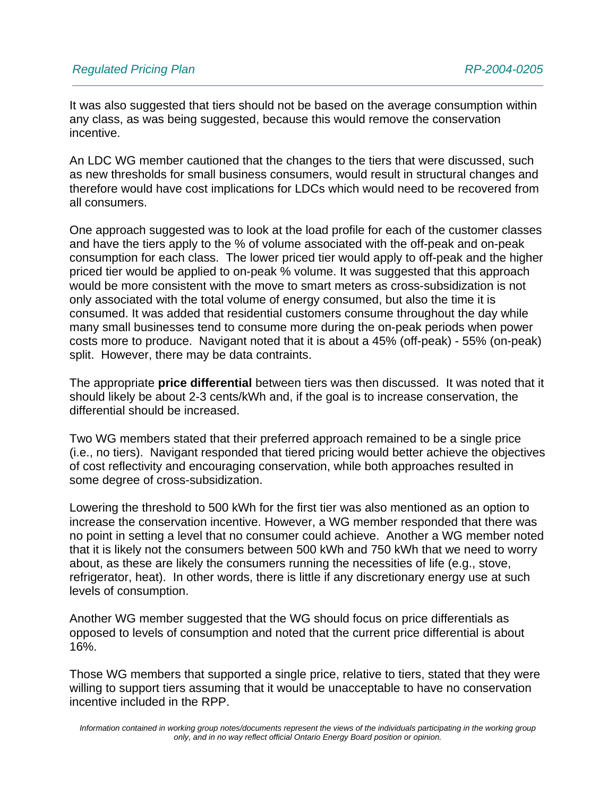It was also suggested that tiers should not be based on the average consumption within any class, as was being suggested, because this would remove the conservation incentive.

An LDC WG member cautioned that the changes to the tiers that were discussed, such as new thresholds for small business consumers, would result in structural changes and therefore would have cost implications for LDCs which would need to be recovered from all consumers.

One approach suggested was to look at the load profile for each of the customer classes and have the tiers apply to the % of volume associated with the off-peak and on-peak consumption for each class. The lower priced tier would apply to off-peak and the higher priced tier would be applied to on-peak % volume. It was suggested that this approach would be more consistent with the move to smart meters as cross-subsidization is not only associated with the total volume of energy consumed, but also the time it is consumed. It was added that residential customers consume throughout the day while many small businesses tend to consume more during the on-peak periods when power costs more to produce. Navigant noted that it is about a 45% (off-peak) - 55% (on-peak) split. However, there may be data contraints.

The appropriate **price differential** between tiers was then discussed. It was noted that it should likely be about 2-3 cents/kWh and, if the goal is to increase conservation, the differential should be increased.

Two WG members stated that their preferred approach remained to be a single price (i.e., no tiers). Navigant responded that tiered pricing would better achieve the objectives of cost reflectivity and encouraging conservation, while both approaches resulted in some degree of cross-subsidization.

Lowering the threshold to 500 kWh for the first tier was also mentioned as an option to increase the conservation incentive. However, a WG member responded that there was no point in setting a level that no consumer could achieve. Another a WG member noted that it is likely not the consumers between 500 kWh and 750 kWh that we need to worry about, as these are likely the consumers running the necessities of life (e.g., stove, refrigerator, heat). In other words, there is little if any discretionary energy use at such levels of consumption.

Another WG member suggested that the WG should focus on price differentials as opposed to levels of consumption and noted that the current price differential is about 16%.

Those WG members that supported a single price, relative to tiers, stated that they were willing to support tiers assuming that it would be unacceptable to have no conservation incentive included in the RPP.

*Information contained in working group notes/documents represent the views of the individuals participating in the working group only, and in no way reflect official Ontario Energy Board position or opinion.*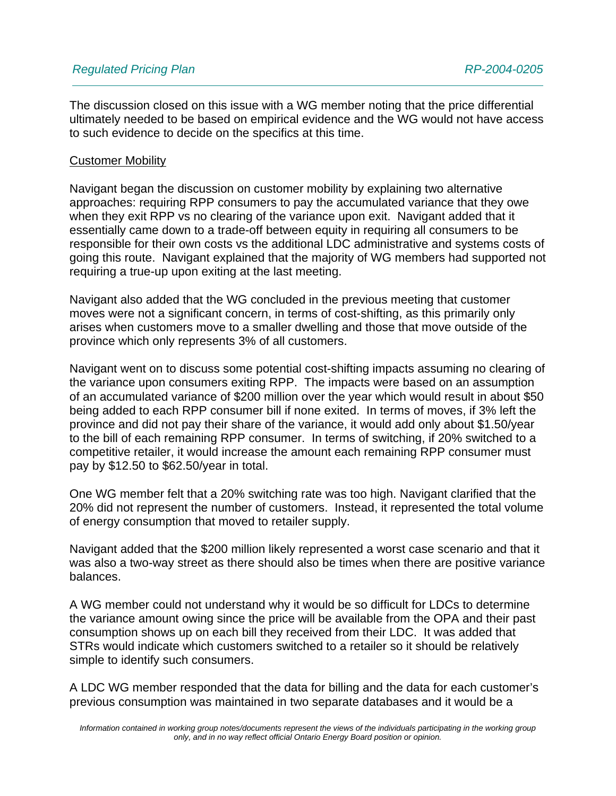The discussion closed on this issue with a WG member noting that the price differential ultimately needed to be based on empirical evidence and the WG would not have access to such evidence to decide on the specifics at this time.

#### Customer Mobility

Navigant began the discussion on customer mobility by explaining two alternative approaches: requiring RPP consumers to pay the accumulated variance that they owe when they exit RPP vs no clearing of the variance upon exit. Navigant added that it essentially came down to a trade-off between equity in requiring all consumers to be responsible for their own costs vs the additional LDC administrative and systems costs of going this route. Navigant explained that the majority of WG members had supported not requiring a true-up upon exiting at the last meeting.

Navigant also added that the WG concluded in the previous meeting that customer moves were not a significant concern, in terms of cost-shifting, as this primarily only arises when customers move to a smaller dwelling and those that move outside of the province which only represents 3% of all customers.

Navigant went on to discuss some potential cost-shifting impacts assuming no clearing of the variance upon consumers exiting RPP. The impacts were based on an assumption of an accumulated variance of \$200 million over the year which would result in about \$50 being added to each RPP consumer bill if none exited. In terms of moves, if 3% left the province and did not pay their share of the variance, it would add only about \$1.50/year to the bill of each remaining RPP consumer. In terms of switching, if 20% switched to a competitive retailer, it would increase the amount each remaining RPP consumer must pay by \$12.50 to \$62.50/year in total.

One WG member felt that a 20% switching rate was too high. Navigant clarified that the 20% did not represent the number of customers. Instead, it represented the total volume of energy consumption that moved to retailer supply.

Navigant added that the \$200 million likely represented a worst case scenario and that it was also a two-way street as there should also be times when there are positive variance balances.

A WG member could not understand why it would be so difficult for LDCs to determine the variance amount owing since the price will be available from the OPA and their past consumption shows up on each bill they received from their LDC. It was added that STRs would indicate which customers switched to a retailer so it should be relatively simple to identify such consumers.

A LDC WG member responded that the data for billing and the data for each customer's previous consumption was maintained in two separate databases and it would be a

*Information contained in working group notes/documents represent the views of the individuals participating in the working group only, and in no way reflect official Ontario Energy Board position or opinion.*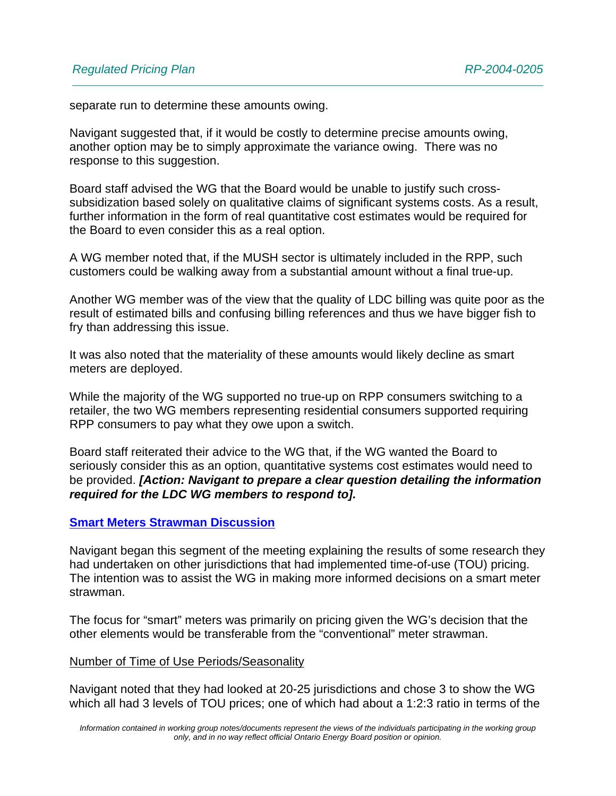separate run to determine these amounts owing.

Navigant suggested that, if it would be costly to determine precise amounts owing, another option may be to simply approximate the variance owing. There was no response to this suggestion.

Board staff advised the WG that the Board would be unable to justify such crosssubsidization based solely on qualitative claims of significant systems costs. As a result, further information in the form of real quantitative cost estimates would be required for the Board to even consider this as a real option.

A WG member noted that, if the MUSH sector is ultimately included in the RPP, such customers could be walking away from a substantial amount without a final true-up.

Another WG member was of the view that the quality of LDC billing was quite poor as the result of estimated bills and confusing billing references and thus we have bigger fish to fry than addressing this issue.

It was also noted that the materiality of these amounts would likely decline as smart meters are deployed.

While the majority of the WG supported no true-up on RPP consumers switching to a retailer, the two WG members representing residential consumers supported requiring RPP consumers to pay what they owe upon a switch.

Board staff reiterated their advice to the WG that, if the WG wanted the Board to seriously consider this as an option, quantitative systems cost estimates would need to be provided. *[Action: Navigant to prepare a clear question detailing the information required for the LDC WG members to respond to].*

#### **Smart Meters Strawman Discussion**

Navigant began this segment of the meeting explaining the results of some research they had undertaken on other jurisdictions that had implemented time-of-use (TOU) pricing. The intention was to assist the WG in making more informed decisions on a smart meter strawman.

The focus for "smart" meters was primarily on pricing given the WG's decision that the other elements would be transferable from the "conventional" meter strawman.

#### Number of Time of Use Periods/Seasonality

Navigant noted that they had looked at 20-25 jurisdictions and chose 3 to show the WG which all had 3 levels of TOU prices; one of which had about a 1:2:3 ratio in terms of the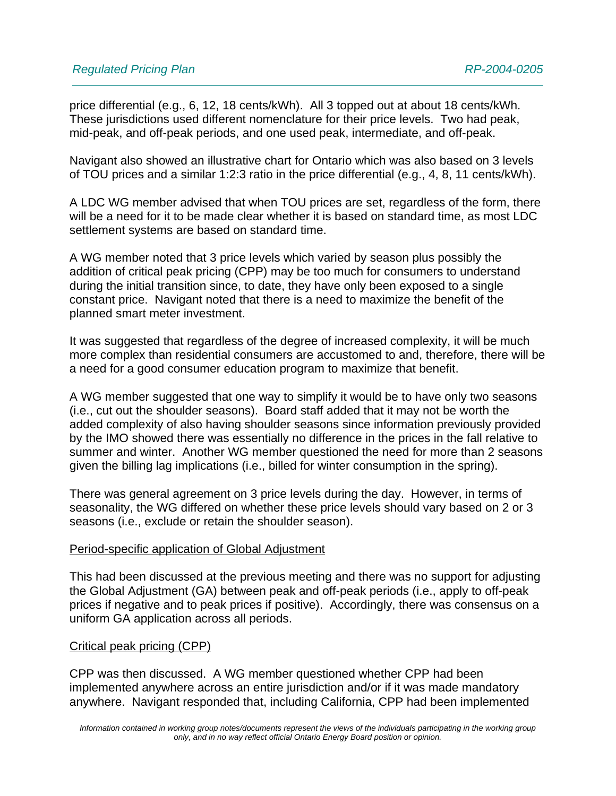price differential (e.g., 6, 12, 18 cents/kWh). All 3 topped out at about 18 cents/kWh. These jurisdictions used different nomenclature for their price levels. Two had peak, mid-peak, and off-peak periods, and one used peak, intermediate, and off-peak.

Navigant also showed an illustrative chart for Ontario which was also based on 3 levels of TOU prices and a similar 1:2:3 ratio in the price differential (e.g., 4, 8, 11 cents/kWh).

A LDC WG member advised that when TOU prices are set, regardless of the form, there will be a need for it to be made clear whether it is based on standard time, as most LDC settlement systems are based on standard time.

A WG member noted that 3 price levels which varied by season plus possibly the addition of critical peak pricing (CPP) may be too much for consumers to understand during the initial transition since, to date, they have only been exposed to a single constant price. Navigant noted that there is a need to maximize the benefit of the planned smart meter investment.

It was suggested that regardless of the degree of increased complexity, it will be much more complex than residential consumers are accustomed to and, therefore, there will be a need for a good consumer education program to maximize that benefit.

A WG member suggested that one way to simplify it would be to have only two seasons (i.e., cut out the shoulder seasons). Board staff added that it may not be worth the added complexity of also having shoulder seasons since information previously provided by the IMO showed there was essentially no difference in the prices in the fall relative to summer and winter. Another WG member questioned the need for more than 2 seasons given the billing lag implications (i.e., billed for winter consumption in the spring).

There was general agreement on 3 price levels during the day. However, in terms of seasonality, the WG differed on whether these price levels should vary based on 2 or 3 seasons (i.e., exclude or retain the shoulder season).

## Period-specific application of Global Adjustment

This had been discussed at the previous meeting and there was no support for adjusting the Global Adjustment (GA) between peak and off-peak periods (i.e., apply to off-peak prices if negative and to peak prices if positive). Accordingly, there was consensus on a uniform GA application across all periods.

## Critical peak pricing (CPP)

CPP was then discussed. A WG member questioned whether CPP had been implemented anywhere across an entire jurisdiction and/or if it was made mandatory anywhere. Navigant responded that, including California, CPP had been implemented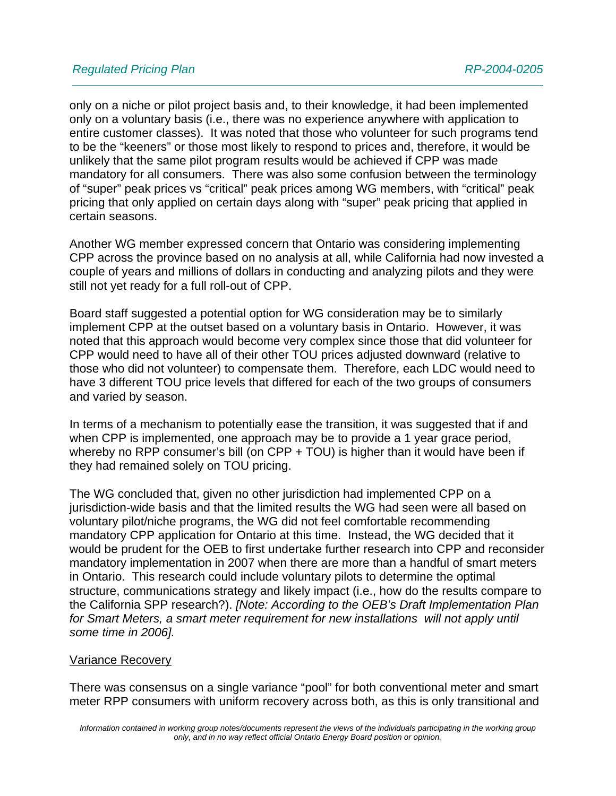only on a niche or pilot project basis and, to their knowledge, it had been implemented only on a voluntary basis (i.e., there was no experience anywhere with application to entire customer classes). It was noted that those who volunteer for such programs tend to be the "keeners" or those most likely to respond to prices and, therefore, it would be unlikely that the same pilot program results would be achieved if CPP was made mandatory for all consumers. There was also some confusion between the terminology of "super" peak prices vs "critical" peak prices among WG members, with "critical" peak pricing that only applied on certain days along with "super" peak pricing that applied in certain seasons.

Another WG member expressed concern that Ontario was considering implementing CPP across the province based on no analysis at all, while California had now invested a couple of years and millions of dollars in conducting and analyzing pilots and they were still not yet ready for a full roll-out of CPP.

Board staff suggested a potential option for WG consideration may be to similarly implement CPP at the outset based on a voluntary basis in Ontario. However, it was noted that this approach would become very complex since those that did volunteer for CPP would need to have all of their other TOU prices adjusted downward (relative to those who did not volunteer) to compensate them. Therefore, each LDC would need to have 3 different TOU price levels that differed for each of the two groups of consumers and varied by season.

In terms of a mechanism to potentially ease the transition, it was suggested that if and when CPP is implemented, one approach may be to provide a 1 year grace period, whereby no RPP consumer's bill (on CPP + TOU) is higher than it would have been if they had remained solely on TOU pricing.

The WG concluded that, given no other jurisdiction had implemented CPP on a jurisdiction-wide basis and that the limited results the WG had seen were all based on voluntary pilot/niche programs, the WG did not feel comfortable recommending mandatory CPP application for Ontario at this time. Instead, the WG decided that it would be prudent for the OEB to first undertake further research into CPP and reconsider mandatory implementation in 2007 when there are more than a handful of smart meters in Ontario. This research could include voluntary pilots to determine the optimal structure, communications strategy and likely impact (i.e., how do the results compare to the California SPP research?). *[Note: According to the OEB's Draft Implementation Plan for Smart Meters, a smart meter requirement for new installations will not apply until some time in 2006].*

## Variance Recovery

There was consensus on a single variance "pool" for both conventional meter and smart meter RPP consumers with uniform recovery across both, as this is only transitional and

*Information contained in working group notes/documents represent the views of the individuals participating in the working group only, and in no way reflect official Ontario Energy Board position or opinion.*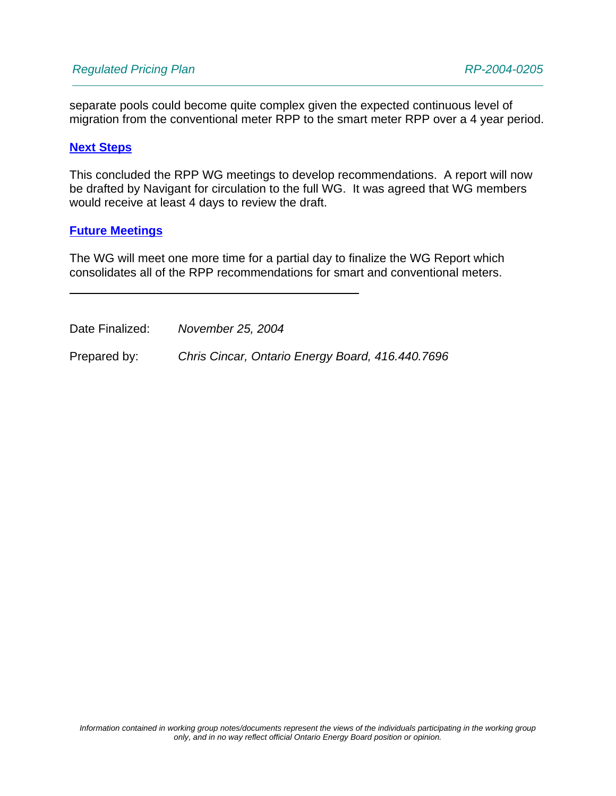separate pools could become quite complex given the expected continuous level of migration from the conventional meter RPP to the smart meter RPP over a 4 year period.

#### **Next Steps**

This concluded the RPP WG meetings to develop recommendations. A report will now be drafted by Navigant for circulation to the full WG. It was agreed that WG members would receive at least 4 days to review the draft.

#### **Future Meetings**

The WG will meet one more time for a partial day to finalize the WG Report which consolidates all of the RPP recommendations for smart and conventional meters.

Date Finalized: *November 25, 2004*

Prepared by: *Chris Cincar, Ontario Energy Board, 416.440.7696*